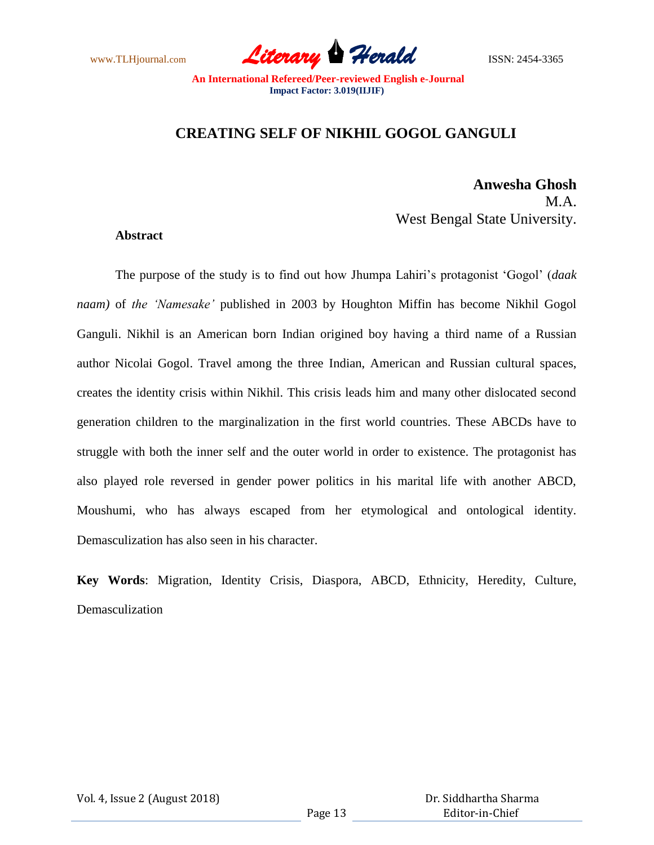www.TLHjournal.com **Literary Herald Herald** ISSN: 2454-3365

## **CREATING SELF OF NIKHIL GOGOL GANGULI**

## **Anwesha Ghosh** M A West Bengal State University.

## **Abstract**

The purpose of the study is to find out how Jhumpa Lahiri"s protagonist "Gogol" (*daak naam)* of *the 'Namesake'* published in 2003 by Houghton Miffin has become Nikhil Gogol Ganguli. Nikhil is an American born Indian origined boy having a third name of a Russian author Nicolai Gogol. Travel among the three Indian, American and Russian cultural spaces, creates the identity crisis within Nikhil. This crisis leads him and many other dislocated second generation children to the marginalization in the first world countries. These ABCDs have to struggle with both the inner self and the outer world in order to existence. The protagonist has also played role reversed in gender power politics in his marital life with another ABCD, Moushumi, who has always escaped from her etymological and ontological identity. Demasculization has also seen in his character.

**Key Words**: Migration, Identity Crisis, Diaspora, ABCD, Ethnicity, Heredity, Culture, Demasculization

Vol. 4, Issue 2 (August 2018)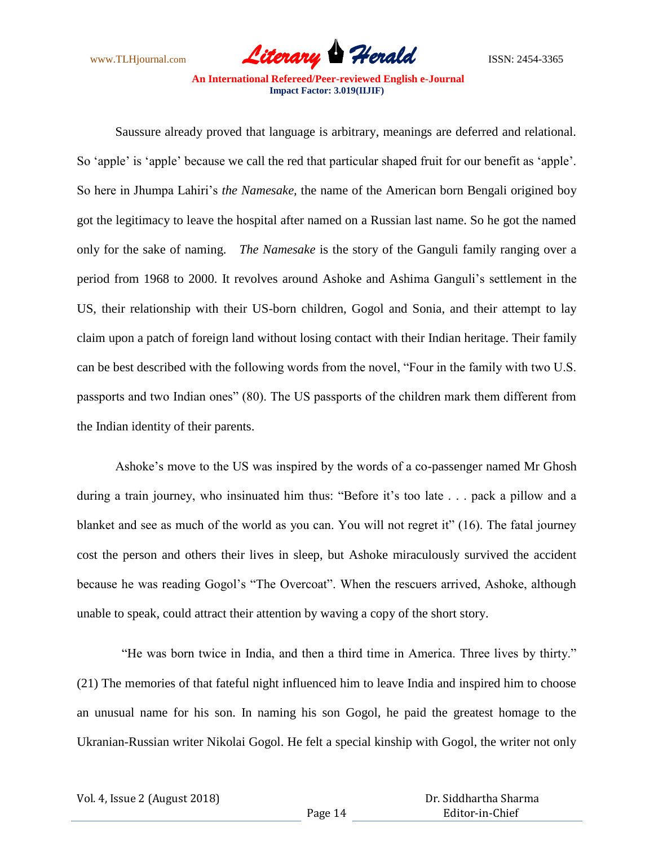

Saussure already proved that language is arbitrary, meanings are deferred and relational. So 'apple' is 'apple' because we call the red that particular shaped fruit for our benefit as 'apple'. So here in Jhumpa Lahiri"s *the Namesake,* the name of the American born Bengali origined boy got the legitimacy to leave the hospital after named on a Russian last name. So he got the named only for the sake of naming. *The Namesake* is the story of the Ganguli family ranging over a period from 1968 to 2000. It revolves around Ashoke and Ashima Ganguli"s settlement in the US, their relationship with their US-born children, Gogol and Sonia, and their attempt to lay claim upon a patch of foreign land without losing contact with their Indian heritage. Their family can be best described with the following words from the novel, "Four in the family with two U.S. passports and two Indian ones" (80). The US passports of the children mark them different from the Indian identity of their parents.

Ashoke"s move to the US was inspired by the words of a co-passenger named Mr Ghosh during a train journey, who insinuated him thus: "Before it's too late . . . pack a pillow and a blanket and see as much of the world as you can. You will not regret it" (16). The fatal journey cost the person and others their lives in sleep, but Ashoke miraculously survived the accident because he was reading Gogol"s "The Overcoat". When the rescuers arrived, Ashoke, although unable to speak, could attract their attention by waving a copy of the short story.

 "He was born twice in India, and then a third time in America. Three lives by thirty." (21) The memories of that fateful night influenced him to leave India and inspired him to choose an unusual name for his son. In naming his son Gogol, he paid the greatest homage to the Ukranian-Russian writer Nikolai Gogol. He felt a special kinship with Gogol, the writer not only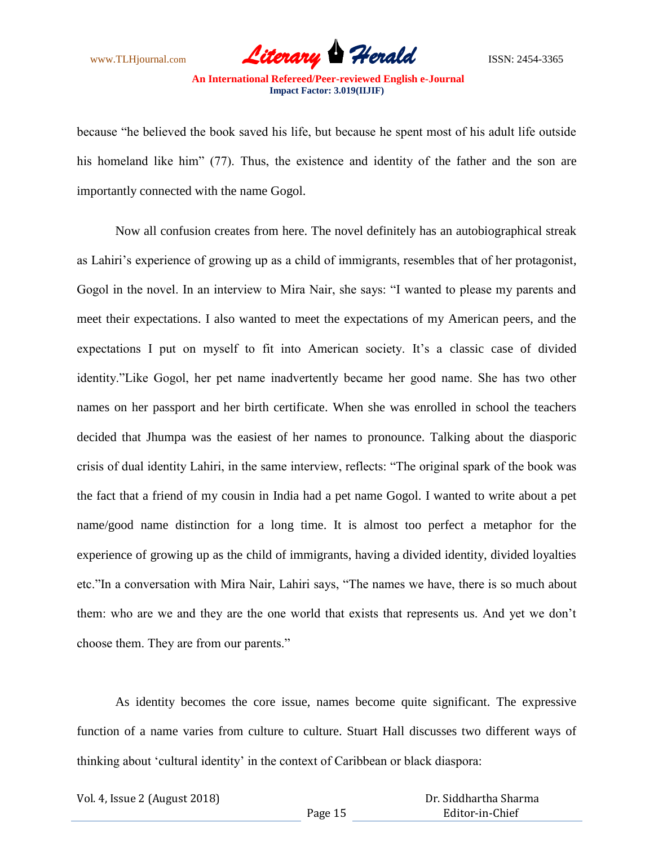

because "he believed the book saved his life, but because he spent most of his adult life outside his homeland like him" (77). Thus, the existence and identity of the father and the son are importantly connected with the name Gogol.

Now all confusion creates from here. The novel definitely has an autobiographical streak as Lahiri's experience of growing up as a child of immigrants, resembles that of her protagonist, Gogol in the novel. In an interview to Mira Nair, she says: "I wanted to please my parents and meet their expectations. I also wanted to meet the expectations of my American peers, and the expectations I put on myself to fit into American society. It's a classic case of divided identity."Like Gogol, her pet name inadvertently became her good name. She has two other names on her passport and her birth certificate. When she was enrolled in school the teachers decided that Jhumpa was the easiest of her names to pronounce. Talking about the diasporic crisis of dual identity Lahiri, in the same interview, reflects: "The original spark of the book was the fact that a friend of my cousin in India had a pet name Gogol. I wanted to write about a pet name/good name distinction for a long time. It is almost too perfect a metaphor for the experience of growing up as the child of immigrants, having a divided identity, divided loyalties etc."In a conversation with Mira Nair, Lahiri says, "The names we have, there is so much about them: who are we and they are the one world that exists that represents us. And yet we don"t choose them. They are from our parents."

As identity becomes the core issue, names become quite significant. The expressive function of a name varies from culture to culture. Stuart Hall discusses two different ways of thinking about "cultural identity" in the context of Caribbean or black diaspora:

Vol. 4, Issue 2 (August 2018)

 Dr. Siddhartha Sharma Editor-in-Chief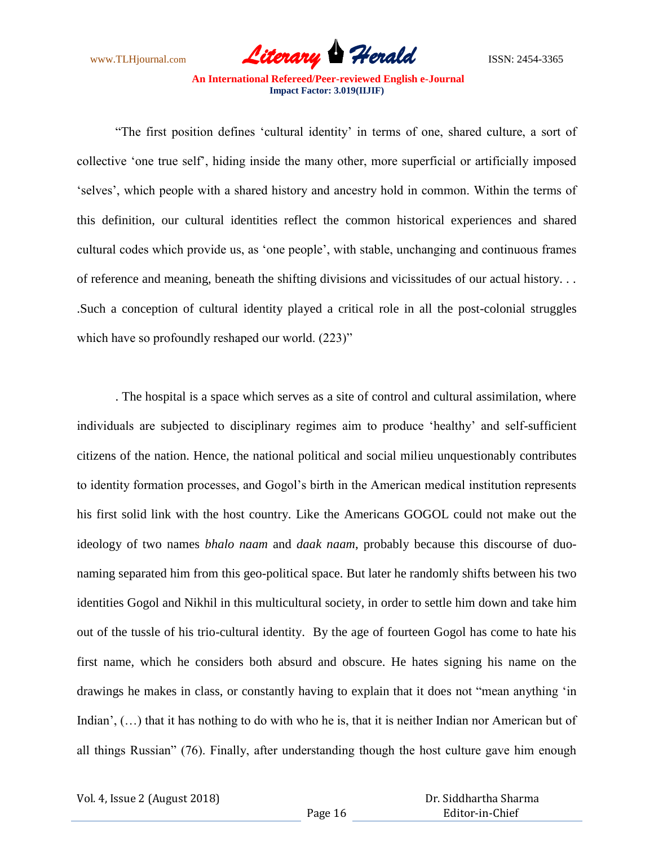

"The first position defines "cultural identity" in terms of one, shared culture, a sort of collective "one true self", hiding inside the many other, more superficial or artificially imposed "selves", which people with a shared history and ancestry hold in common. Within the terms of this definition, our cultural identities reflect the common historical experiences and shared cultural codes which provide us, as "one people", with stable, unchanging and continuous frames of reference and meaning, beneath the shifting divisions and vicissitudes of our actual history. . . .Such a conception of cultural identity played a critical role in all the post-colonial struggles which have so profoundly reshaped our world.  $(223)$ "

. The hospital is a space which serves as a site of control and cultural assimilation, where individuals are subjected to disciplinary regimes aim to produce "healthy" and self-sufficient citizens of the nation. Hence, the national political and social milieu unquestionably contributes to identity formation processes, and Gogol"s birth in the American medical institution represents his first solid link with the host country. Like the Americans GOGOL could not make out the ideology of two names *bhalo naam* and *daak naam*, probably because this discourse of duonaming separated him from this geo-political space. But later he randomly shifts between his two identities Gogol and Nikhil in this multicultural society, in order to settle him down and take him out of the tussle of his trio-cultural identity. By the age of fourteen Gogol has come to hate his first name, which he considers both absurd and obscure. He hates signing his name on the drawings he makes in class, or constantly having to explain that it does not "mean anything "in Indian',  $(...)$  that it has nothing to do with who he is, that it is neither Indian nor American but of all things Russian" (76). Finally, after understanding though the host culture gave him enough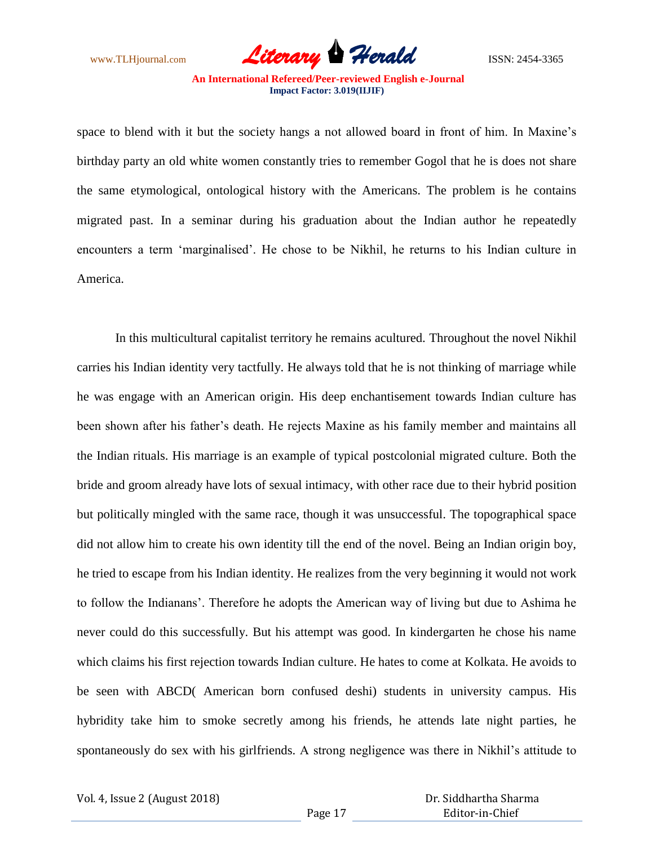www.TLHjournal.com *Literary Herald*ISSN: 2454-3365

space to blend with it but the society hangs a not allowed board in front of him. In Maxine's birthday party an old white women constantly tries to remember Gogol that he is does not share the same etymological, ontological history with the Americans. The problem is he contains migrated past. In a seminar during his graduation about the Indian author he repeatedly encounters a term "marginalised". He chose to be Nikhil, he returns to his Indian culture in America.

In this multicultural capitalist territory he remains acultured. Throughout the novel Nikhil carries his Indian identity very tactfully. He always told that he is not thinking of marriage while he was engage with an American origin. His deep enchantisement towards Indian culture has been shown after his father"s death. He rejects Maxine as his family member and maintains all the Indian rituals. His marriage is an example of typical postcolonial migrated culture. Both the bride and groom already have lots of sexual intimacy, with other race due to their hybrid position but politically mingled with the same race, though it was unsuccessful. The topographical space did not allow him to create his own identity till the end of the novel. Being an Indian origin boy, he tried to escape from his Indian identity. He realizes from the very beginning it would not work to follow the Indianans". Therefore he adopts the American way of living but due to Ashima he never could do this successfully. But his attempt was good. In kindergarten he chose his name which claims his first rejection towards Indian culture. He hates to come at Kolkata. He avoids to be seen with ABCD( American born confused deshi) students in university campus. His hybridity take him to smoke secretly among his friends, he attends late night parties, he spontaneously do sex with his girlfriends. A strong negligence was there in Nikhil's attitude to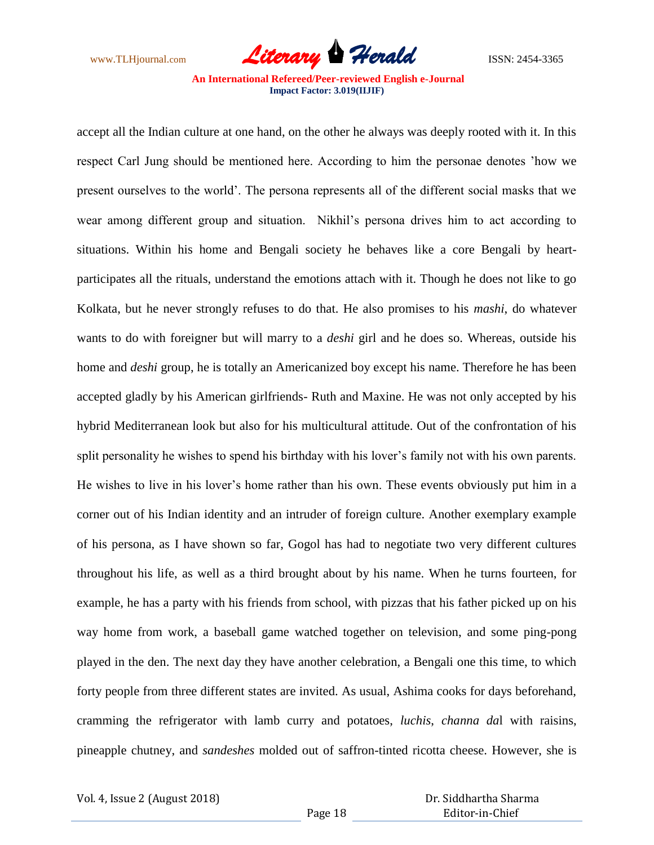

accept all the Indian culture at one hand, on the other he always was deeply rooted with it. In this respect Carl Jung should be mentioned here. According to him the personae denotes "how we present ourselves to the world". The persona represents all of the different social masks that we wear among different group and situation. Nikhil"s persona drives him to act according to situations. Within his home and Bengali society he behaves like a core Bengali by heartparticipates all the rituals, understand the emotions attach with it. Though he does not like to go Kolkata, but he never strongly refuses to do that. He also promises to his *mashi*, do whatever wants to do with foreigner but will marry to a *deshi* girl and he does so. Whereas, outside his home and *deshi* group, he is totally an Americanized boy except his name. Therefore he has been accepted gladly by his American girlfriends- Ruth and Maxine. He was not only accepted by his hybrid Mediterranean look but also for his multicultural attitude. Out of the confrontation of his split personality he wishes to spend his birthday with his lover"s family not with his own parents. He wishes to live in his lover"s home rather than his own. These events obviously put him in a corner out of his Indian identity and an intruder of foreign culture. Another exemplary example of his persona, as I have shown so far, Gogol has had to negotiate two very different cultures throughout his life, as well as a third brought about by his name. When he turns fourteen, for example, he has a party with his friends from school, with pizzas that his father picked up on his way home from work, a baseball game watched together on television, and some ping-pong played in the den. The next day they have another celebration, a Bengali one this time, to which forty people from three different states are invited. As usual, Ashima cooks for days beforehand, cramming the refrigerator with lamb curry and potatoes, *luchis*, *channa da*l with raisins, pineapple chutney, and *sandeshes* molded out of saffron-tinted ricotta cheese. However, she is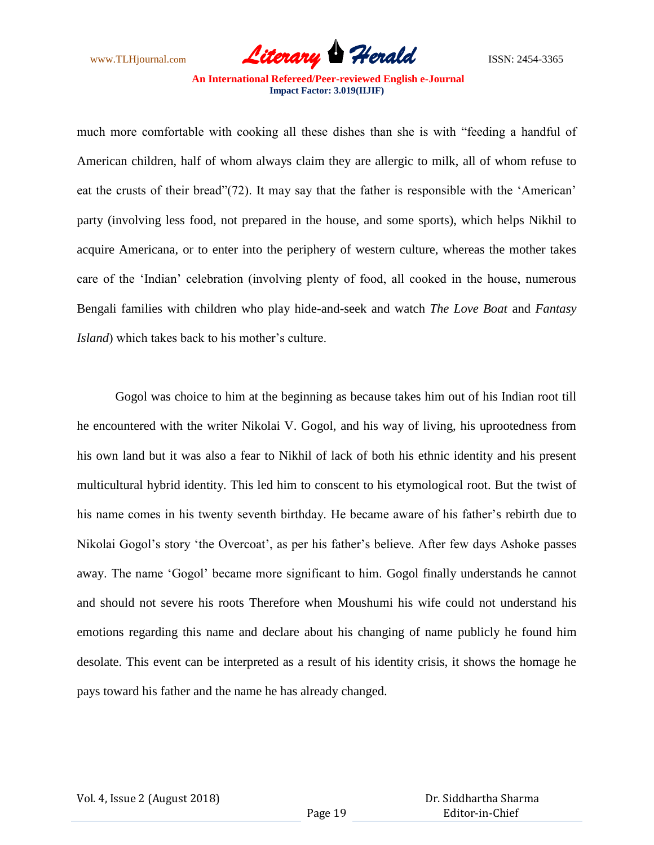www.TLHjournal.com **Literary Herald Herald** ISSN: 2454-3365

much more comfortable with cooking all these dishes than she is with "feeding a handful of American children, half of whom always claim they are allergic to milk, all of whom refuse to eat the crusts of their bread"(72). It may say that the father is responsible with the "American" party (involving less food, not prepared in the house, and some sports), which helps Nikhil to acquire Americana, or to enter into the periphery of western culture, whereas the mother takes care of the "Indian" celebration (involving plenty of food, all cooked in the house, numerous Bengali families with children who play hide-and-seek and watch *The Love Boat* and *Fantasy Island*) which takes back to his mother's culture.

Gogol was choice to him at the beginning as because takes him out of his Indian root till he encountered with the writer Nikolai V. Gogol, and his way of living, his uprootedness from his own land but it was also a fear to Nikhil of lack of both his ethnic identity and his present multicultural hybrid identity. This led him to conscent to his etymological root. But the twist of his name comes in his twenty seventh birthday. He became aware of his father's rebirth due to Nikolai Gogol's story 'the Overcoat', as per his father's believe. After few days Ashoke passes away. The name "Gogol" became more significant to him. Gogol finally understands he cannot and should not severe his roots Therefore when Moushumi his wife could not understand his emotions regarding this name and declare about his changing of name publicly he found him desolate. This event can be interpreted as a result of his identity crisis, it shows the homage he pays toward his father and the name he has already changed.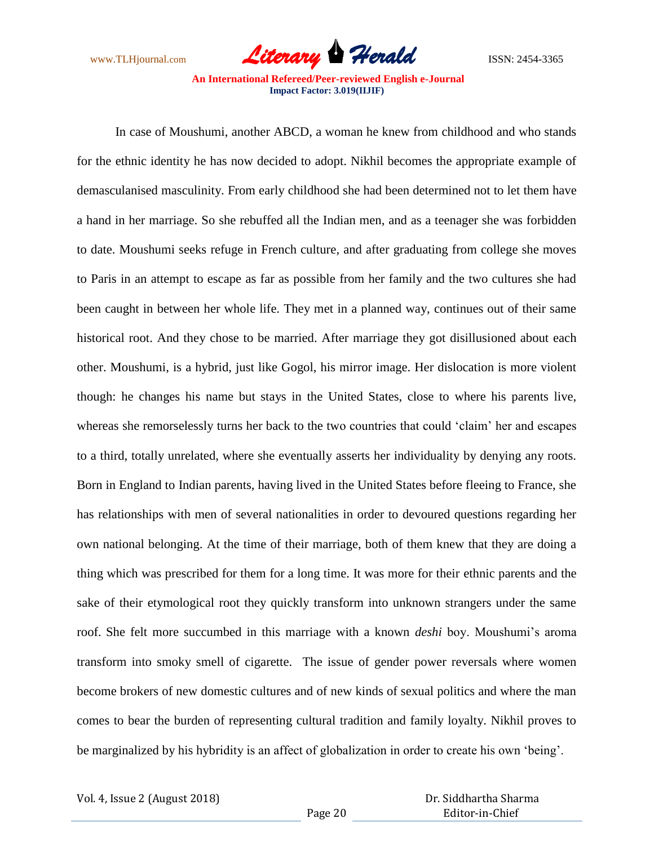

In case of Moushumi, another ABCD, a woman he knew from childhood and who stands for the ethnic identity he has now decided to adopt. Nikhil becomes the appropriate example of demasculanised masculinity. From early childhood she had been determined not to let them have a hand in her marriage. So she rebuffed all the Indian men, and as a teenager she was forbidden to date. Moushumi seeks refuge in French culture, and after graduating from college she moves to Paris in an attempt to escape as far as possible from her family and the two cultures she had been caught in between her whole life. They met in a planned way, continues out of their same historical root. And they chose to be married. After marriage they got disillusioned about each other. Moushumi, is a hybrid, just like Gogol, his mirror image. Her dislocation is more violent though: he changes his name but stays in the United States, close to where his parents live, whereas she remorselessly turns her back to the two countries that could "claim" her and escapes to a third, totally unrelated, where she eventually asserts her individuality by denying any roots. Born in England to Indian parents, having lived in the United States before fleeing to France, she has relationships with men of several nationalities in order to devoured questions regarding her own national belonging. At the time of their marriage, both of them knew that they are doing a thing which was prescribed for them for a long time. It was more for their ethnic parents and the sake of their etymological root they quickly transform into unknown strangers under the same roof. She felt more succumbed in this marriage with a known *deshi* boy. Moushumi"s aroma transform into smoky smell of cigarette. The issue of gender power reversals where women become brokers of new domestic cultures and of new kinds of sexual politics and where the man comes to bear the burden of representing cultural tradition and family loyalty. Nikhil proves to be marginalized by his hybridity is an affect of globalization in order to create his own "being".